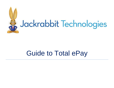

# Guide to Total ePay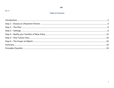#### February 2022

## **Table of Contents**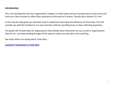# <span id="page-2-0"></span>**Introduction**

This is an exciting time for your organization! Imagine a month where all your families pay on time and it just took you a few minutes to collect their payments at the push of a button. Sounds like a dream? It's not!

In this step-by-step guide you will learn how to implement and enjoy the efficiency of Total ePay. This will provide you with the freedom to run your business without spending hours or days collecting payments.

This guide will include steps for organizations that already have ePayments set up, as well as organizations that do not. Just keep reading through all the steps to make sure you don't miss anything.

See what others are saying about Total ePay …

**[Customer Testimonial to Total ePay](https://youtu.be/z4PA2__MAGo)**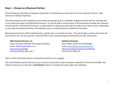# <span id="page-3-0"></span>**Step 1 - Choose an ePayment Partner**

The first thing you will need to implement Total ePay is an ePayments account with one of our ePayment Partners, C&H Financial or SafeSave Payments.

They will provide you with a gateway and merchant processing account. Jackrabbit integrates directly with the Gateway that in turn sends your data to the Merchant Processor. You will be able to see the status of all transactions through your Gateway Virtual Terminal. The Merchant Processor is responsible for making sure payments are made to your bank account. Depending on your plan and ePayment Partner, the Gateway may act as both Gateway and Merchant Processor.

Both ePayment Partners offer traditional plans and flat-rate, no monthly fee plans. They will be able to advise which plan will work best for you and your business. They also offer meet or beat pricing and will provide you with a free quote.

#### **C&H Financial Services, Inc.**

Casey Cumming, Payment Processing Consultant Email: [JRSalesSupport@chfs.us](mailto:JRSalesSupport@chfs.us) [https://chfs.us/ja](https://chfs.us/)ckrabbit Toll-free 855-602-2437, Ext 1

#### **SafeSave Payments**

James Mann, Sales Account Manager Email: [jmann@safesavepayments.com](mailto:jmann@safesavepayments.com) [https://www.safesave-](https://www.safesave-payments.com/jackrabbit)[payments.com/JREnroll](https://www.safesave-payments.com/landing/utm/jackrabbit-preferred-partner/) Toll-free 877-938-1221

There is more information about our ePayment partners on our [website.](https://www.jackrabbitclass.com/features/billing-payment-processing/ecommerce/)

Your new ePayment partner will set up your account and provide us with the proper credentials to link with Jackrabbit. We will then send you an email with a '**Get Started**' button to complete the setup within your database.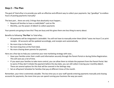# <span id="page-4-0"></span>**Step 2 – The Plan**

The goal of Total ePay is to provide you with an effective and efficient way to collect your payments. Say "goodbye" to endless hours of posting payments manually!

The best part… there are only 2 things that absolutely must happen…

- Require all families to have a credit/debit\* card on file
- Monthly, use the power of eBatch to collect payments

Your parents are going to love this! They are busy and this gives them one less thing to worry about.

Benefits to following '**The Plan**' to Total ePay…

- All payments will be integrated in Jackrabbit. You will not have to manually enter them (think "saves me hours") or print receipts. All accounts will be updated accordingly, and receipts sent automatically.
- No more trips to the bank.
- No more long lines at the front desk.
- No more chasing down parents for payment.

Here are a few tips to help you customize your new marketing strategy with ease...

- Have your families enter their credit card information securely through the Parent Portal or during Online Registration. This will save you a lot of time.
- IF you want your families to take more control, you can allow them to initiate the payment from the Parent Portal. Not to worry if they don't initiate the payment before the due date, you can still collect it during your monthly eBatch. There are several options for this that will be covered in the Settings step.
- Set an ePayment Schedule for families that pay at different times of the month.

Remember, your time is extremely valuable. The less time you or your staff spends entering payments manually and chasing accounts for payments, the more time you can spend running your business the way you want.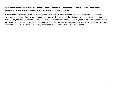**\*Debit cards are treated just like credit cards in the US. Visa/MC Debit cards can be used in Canada. Check with your gateway to be sure. The use of debit cards is not available in other countries.**

**A note about Bank Drafts** – Bank Drafts can also be a part of Total ePay. However, you must understand they are not processed in real time. They are always marked as "**Approved**" in Jackrabbit, but that does not mean they will be cleared. It takes 5-7 days to clear their banks and be deposited into your account. If there is an issue, there is no communication back to Jackrabbit. You must watch the Settlement emails you receive from your gateway and bank. Any adjustments must be done manually. For the most effortless processing experience, we recommend using credit/debit cards.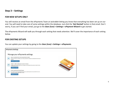# <span id="page-6-0"></span>**Step 3 – Settings**

## **FOR NEW SETUPS ONLY**

You will receive an email from the ePayments Team at Jackrabbit letting you know that everything has been set up on our end. You will need to take care of some settings within the database. Just click the '**Get Started'** button in that email. Don't worry, if you can't find your email, just go to the *Gear (icon) > Settings > ePayment Wizard* to get started.

The ePayments Wizard will walk you through each setting that needs attention. We'll cover the importance of each setting below.

## **FOR EXISTING SETUPS**

You can update your settings by going to the *Gear (icon) > Settings > ePayments*.

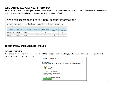# **WHO CAN PROCESS VOIDS AND/OR REFUNDS?**

All users are defaulted to being able to Edit Family Bank/CC info and Post CC Transactions. This is where you can determine if that is accurate or not and which users can process Voids and Refunds.

|                      |                   |                  |              | Who can access credit card & bank account information?<br>Determine which of your database users will have these permissions. |                               |                                |  |
|----------------------|-------------------|------------------|--------------|-------------------------------------------------------------------------------------------------------------------------------|-------------------------------|--------------------------------|--|
| <b>Current Users</b> |                   |                  |              |                                                                                                                               |                               |                                |  |
| User ID              | <b>First Name</b> | <b>Last Name</b> | Void on Card | <b>Refund on Card</b>                                                                                                         | <b>Edit Family</b><br>Bank/CC | Post CC<br><b>Transactions</b> |  |
| eCommDemo3           | Beatrice          | Bunny            | ▽            | $\checkmark$                                                                                                                  | $\checkmark$                  | $\checkmark$                   |  |
| eCommDemo4           | Ramona            | Rabbit           | ▽            | $\triangledown$                                                                                                               | $\checkmark$                  | ☑                              |  |
| Staff123             | General           | Staff            |              |                                                                                                                               | $\checkmark$                  | $\overline{\smile}$            |  |

## **CREDIT CARD & BANK ACCOUNT SETTINGS**

## **PAYMENT PARTNER**

This page is mostly informational. It includes all the contact information for your ePayment Partner, a link to the Virtual Terminal (gateway), and your OrgID.

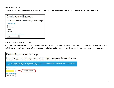## **CARDS ACCEPTED**

Choose which cards you would like to accept. Check your setup email to see which ones you are authorized to use.

| Cards you will accept.                        |
|-----------------------------------------------|
| Determine which credit cards you will accept. |
| Card Types <sup>[7]</sup>                     |
| Visa                                          |
| Mastercard                                    |
| Amex                                          |
| <b>Discover</b>                               |
| Allow 3 credit cards per family/account       |
| Yes<br>$\vee$                                 |

## **ONLINE REGISTRATION SETTINGS**

Typically, this is how your new families put their information into your database. After that they use the Parent Portal. You do not HAVE to accept registrations Online to use Total ePay. But if you do, then these are the settings you need to address.

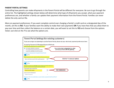#### **PARENT PORTAL SETTINGS**

Controlling how parents can make ePayments in the Parent Portal will be different for everyone. Be sure to go through the entire list. The highlighted settings shown below will determine what type of ePayments you accept, what your payment preferences are, and whether a family can update their payment information from the Parent Portal. Families can never delete the only card on file.

More on payment preferences: If you want complete control over charging a family's credit card on a designated day of the month, set this to **NO**. If your families want the ability to make their own payments **OR** if you have fees that you allow them to pay over time and then collect the balance on a certain date, you will want to set this to **YES** and choose from the options listed. Just click on the **?** to see what the options are.

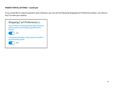## **PARENT PORTAL SETTINGS – Continued**

If you would like to require payment upon checkout, you can set the following Shopping Cart Preferences below. Just click on the **?** to view your options.

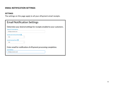## **EMAIL NOTIFICATION SETTINGS**

## **SETTINGS**

The settings on this page apply to all your ePayment email receipts.

| <b>Email Notification Settings</b>                                                                            |
|---------------------------------------------------------------------------------------------------------------|
| Determine your desired settings for receipts emailed to your customers.<br>"Reply To" Email Address           |
| info@youremail.com                                                                                            |
| Include Link To Parent Portal? ?                                                                              |
| <b>YES</b><br>v                                                                                               |
| Include Itemized Fees? ?                                                                                      |
| <b>YES</b><br>v                                                                                               |
| Enter email for notification of ePayment processing completion.<br><b>Email Address</b><br>info@youremail.com |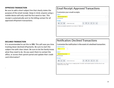## **APPROVED TRANSACTION**

Be sure to add a short subject line that clearly states the purpose of the email receipt. Keep in mind, anyone using a mobile device will only read the first word or two. This receipt is automatically sent to the billing contact for all approved ePayment transactions.

# **Email Receipt: Approved Transactions**

Customize your email receipts.

| Subject*<br>Payment Approved! |                  |            |                                                         |              |         |                         |                   |  |  |
|-------------------------------|------------------|------------|---------------------------------------------------------|--------------|---------|-------------------------|-------------------|--|--|
| 83 characters left            |                  |            |                                                         |              |         |                         |                   |  |  |
| <b>Message</b>                |                  |            |                                                         |              |         |                         |                   |  |  |
| B                             | $\boldsymbol{I}$ | – <u>∪</u> | (inherited size)                                        | $\mathsf{A}$ | $\circ$ | $\overline{\mathbf{v}}$ | $\langle \rangle$ |  |  |
|                               |                  |            | We have processed a payment to your account. Thank you! |              |         |                         |                   |  |  |
|                               |                  |            |                                                         |              |         |                         |                   |  |  |
|                               |                  |            |                                                         |              |         |                         |                   |  |  |
|                               |                  |            |                                                         |              |         |                         |                   |  |  |
|                               |                  |            |                                                         |              |         |                         |                   |  |  |

#### **DECLINED TRANSACTION**

.

It is recommended to set this to **YES**. This will save you time tracking down declined ePayments. Be sure to start the subject line with clear intent. Be sure to let the family know what they need to do. Do you want them to contact the office, or access their parent portal and update their credit card information?

# **Notification: Declined Transactions**

Customize the notification in the event of a declined transaction.

| <b>Enable this email?</b><br><b>YES</b>                       |   | $\checkmark$                                                                                                |
|---------------------------------------------------------------|---|-------------------------------------------------------------------------------------------------------------|
| Subject*<br><b>Declined Transaction</b><br>80 characters left |   |                                                                                                             |
| <b>Message</b>                                                |   |                                                                                                             |
| $\boldsymbol{I}$<br>в                                         | ப | $\circ$<br>A<br>$\langle \rangle$<br>(inherited size)<br>$\blacktriangledown$                               |
| assistance you may need.                                      |   | Please login to your Parent Portal, change payment information and resubmit payment Call the office for any |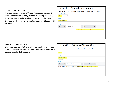## **VOIDED TRANSACTION**

It is recommended to send Voided Transaction notices. It adds a level of transparency that you are letting the family know that a potentially pending charge will not be going through. Let them know the **pending charges will drop in 24- 48 hours.**

# **Notification: Voided Transactions**

Customize the notification in the event of a voided transaction.

| <b>Enable this email?</b><br><b>YES</b> |                  |            | $\checkmark$                                                                                            |                      |   |                         |         |                         |                   |  |  |
|-----------------------------------------|------------------|------------|---------------------------------------------------------------------------------------------------------|----------------------|---|-------------------------|---------|-------------------------|-------------------|--|--|
| Subject*                                |                  |            |                                                                                                         |                      |   |                         |         |                         |                   |  |  |
| <b>Voided Payment</b>                   |                  |            |                                                                                                         |                      |   |                         |         |                         |                   |  |  |
| 86 characters left                      |                  |            |                                                                                                         |                      |   |                         |         |                         |                   |  |  |
| <b>Message</b>                          |                  |            |                                                                                                         |                      |   |                         |         |                         |                   |  |  |
| B                                       | $\boldsymbol{I}$ | – <u>∪</u> | (inherited size)                                                                                        | $\blacktriangledown$ | A | $\overline{\mathbf{v}}$ | $\circ$ | $\overline{\mathbf{v}}$ | $\langle \rangle$ |  |  |
|                                         |                  |            | A payment has been voided on your account. Any pending charges should drop within 24-48 business hours. |                      |   |                         |         |                         |                   |  |  |

#### **REFUNDED TRANSACTION**

Like voids, this just lets the family know you have processed a refund on their account. Let them know it takes **3-5 days to process back to their account.**



| <b>YES</b>                  | $\checkmark$                                                                                                                                     |
|-----------------------------|--------------------------------------------------------------------------------------------------------------------------------------------------|
| Subject*                    |                                                                                                                                                  |
| <b>Refund Submitted</b>     |                                                                                                                                                  |
| 84 characters left          |                                                                                                                                                  |
| <b>Message</b>              |                                                                                                                                                  |
| – <u>∪</u><br>B<br>$\bm{I}$ | $\circ$<br>$\overline{A}$<br>$\langle \rangle$<br>(inherited size)<br>$\overline{\mathbf{v}}$<br>$\blacktriangledown$<br>$\overline{\mathbf{v}}$ |
|                             | A refund has been submitted on your account. Refunds typically take 3-5 business days to process.                                                |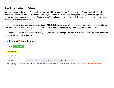## **Gear (icon) > Settings > Policies**

Whether you are using Online Registration or not, you will always want your families to sign-off on your policies. This is particularly important for your Payment Policies. If you do not use Online Registration, then have your families sign-off through the Parent Portal. Each time a family signs-off on updated policies, it is recorded and available to view or print on the family's Policy tab in Jackrabbit.

It is important that your payment policy contains **EVERYTHING** having to do with payments including late payments, refunds, due dates, etc. Most importantly, you need **permission from the family to charge their payment method on file**.

It's important to do this step before you notify your families of the change. That way they will be able to sign off on policies at the same time as adding their cards.

|                                      | <b>Edit Policy: Payment Policies</b> |  |                 |  |  |  |  |  |  |  |  |  |           |     |                                                                                                                                                                                               |  |
|--------------------------------------|--------------------------------------|--|-----------------|--|--|--|--|--|--|--|--|--|-----------|-----|-----------------------------------------------------------------------------------------------------------------------------------------------------------------------------------------------|--|
| <b>SAVE CHANGES</b><br><b>RETURN</b> |                                      |  |                 |  |  |  |  |  |  |  |  |  |           |     |                                                                                                                                                                                               |  |
| <b>Payment Policies</b>              |                                      |  |                 |  |  |  |  |  |  |  |  |  |           |     |                                                                                                                                                                                               |  |
| Describe this policy                 |                                      |  |                 |  |  |  |  |  |  |  |  |  |           |     |                                                                                                                                                                                               |  |
| <b>Font Size</b>                     | $\bar{\bm{\nabla}}$                  |  | $A \rightarrow$ |  |  |  |  |  |  |  |  |  | $\bullet$ | č', | $\langle \rangle$                                                                                                                                                                             |  |
| credit/debit card.                   |                                      |  |                 |  |  |  |  |  |  |  |  |  |           |     | Enter everything having to do with your Payment Policies - to include when payments will be drafted, refund policy, cancellation policy, etc. Need permission from the family to charge their |  |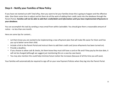# <span id="page-15-0"></span>**Step 4 – Notify your Families of New Policy**

If you have not started out with Total ePay, then you want to let your families know this is going to happen and the effective date. Give them some time to adjust and let them do all the work of adding their credit cards into the database through the Parent Portal. *Families will not be able to add their credit/debit card information until you have implemented ePayments in your database***.**

You can accomplish this task by sending a mass email from within Jackrabbit. You should give them a reasonable amount of notice – no less than one month.

Here are some tips for content…

- Let them know you are excited to be implementing a new ePayment plan that will make life easier for them and free you up to better serve their child.
- Include a link to the Parent Portal and instruct them to add their credit card (once ePayments has been turned on).
- Provide a deadline.
- If you choose to allow cash & checks, let them know they must still have a card on file and if they pay by the due date, it will not be charged (although we suggest just mentioning this on a case-by-case basis).
- You may also mention this could help minimize future tuition fee increases (because of all the time you will save).

Your families will automatically be required to sign off on your new Payment Policies when they log into the Parent Portal.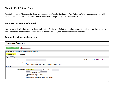## <span id="page-16-0"></span>**Step 5 – Post Tuition Fees**

Post tuition fees to ALL accounts. If you are not using the Post Tuition Fees or Post Tuition by Total Hours process, you will want to contact Support and ask for their assistance in setting that up. It is a HUGE time saver!

# <span id="page-16-1"></span>**Step 6 – The Power of eBatch**

Here we go … this is what you have been waiting for! The Power of eBatch! Let's just assume that all your families pay at the same time each month for their entire balance on their account, and you only accept credit cards.

## **Transactions>Process ePayments**

| <b>Process ePayments</b> |                                                                                                                                                                                                                                                                                                                          |  |
|--------------------------|--------------------------------------------------------------------------------------------------------------------------------------------------------------------------------------------------------------------------------------------------------------------------------------------------------------------------|--|
| PREVIEW ePAYMENTS        |                                                                                                                                                                                                                                                                                                                          |  |
|                          | <b>Process Setting Q Favorites B</b> Save Favorites $x$ Refresh ?                                                                                                                                                                                                                                                        |  |
| <b>O</b> Process Now     | ○ Process Later                                                                                                                                                                                                                                                                                                          |  |
| <b>Payment Settings</b>  |                                                                                                                                                                                                                                                                                                                          |  |
|                          | Your Payment Partner is: C&H Financial Services<br>Apply Payments to $\int$ Oldest Fees First (within last 12 months) $\sim$                                                                                                                                                                                             |  |
|                          | <b>Payment Collection ©</b> Collect unpaid fees, but do not exceed the balance on account<br>$\circlearrowright$ Collect full amount of unpaid fees, ignore pre-payments/credits on account $\circlearrowright$                                                                                                          |  |
| <b>Family Criteria</b>   |                                                                                                                                                                                                                                                                                                                          |  |
|                          | ePayment Method Credit Card<br>ePayment Schedule<br>$\check{ }$<br>$\checkmark$<br>Location<br><b>Membership Type</b><br>$\checkmark$<br>$\checkmark$<br>$\Box$ Process families with credit balance<br>$\Box$ Process inactive families<br>$\triangleright$ Process families with declined transactions (last 24 hours) |  |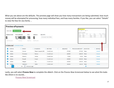What you see above are the defaults. The preview page will show you how many transactions are being submitted, how much money will be attempted for processing, how many individual fees, and how many families. If you like, you can select "Details" to view the fees for any family …

|                        |                                    | <b>Preview ePayments</b>           |                 |                          |   |                       |                 |                    |   |                |                                 |                                                                           |                |                        |                               |                         |                         |  |
|------------------------|------------------------------------|------------------------------------|-----------------|--------------------------|---|-----------------------|-----------------|--------------------|---|----------------|---------------------------------|---------------------------------------------------------------------------|----------------|------------------------|-------------------------------|-------------------------|-------------------------|--|
|                        | PROCESS NOW<br>$\leftarrow$ RETURN |                                    |                 |                          |   |                       |                 |                    |   |                | <b>IAMEY</b><br>Connor          | <b>Unpaid Fees Preview</b><br>CURRENT BALANCE<br>PROCESS AMOUNT<br>275.00 |                |                        |                               |                         |                         |  |
|                        | <b>TRANSACTIONS</b>                | <b>TOTAL AMOUNT</b>                |                 | <b>FEES</b>              |   | <b>FAMILIES</b>       | <b>RECEIPTS</b> |                    |   |                | DATE<br>2022-02-14              | Showing 4 of 4 unpaid fees<br><b>TYPE</b><br><b>Tuition Fee</b>           | <b>SUBTYPE</b> | CAT1<br>Music          | <b>SESSION</b><br>Fun Session | <b>AMOUNT</b><br>105.00 | UNPAID AMOUNT<br>105.00 |  |
|                        |                                    |                                    |                 |                          |   |                       |                 |                    |   |                | 2022-02-14<br>2022-02-14        | <b>Tuition Fee</b><br><b>Tuition Fee</b>                                  |                | Cymnastic<br>Cymnastic | Fun Session<br>Fun Session    | 55.00<br>55.00          | 55.00<br>55.00          |  |
| 6                      |                                    | 1,140.00                           |                 | 16                       | 6 |                       |                 | ® RECEIPT SETTINGS |   |                | 2022-02-14                      | <b>Tuition Fee</b>                                                        |                | Recreation             | Fun Session                   | 60.00                   | 60.00                   |  |
|                        | <b>Total ePayments</b>             | Currency                           |                 | <b>Total Fees</b>        |   | <b>Total Families</b> |                 |                    |   |                |                                 |                                                                           |                |                        |                               |                         |                         |  |
|                        |                                    | <b>6 Selected</b> CLEAR SELECTIONS |                 |                          |   |                       |                 |                    |   |                |                                 |                                                                           |                |                        |                               |                         |                         |  |
| $\sim$                 | <b>STATUS</b>                      |                                    | : FAMILY        |                          |   | : STUDENTS            |                 | : METHOD           | ÷ | <b>BALANCE</b> | <b>PROCESS AMOUNT: LOCATION</b> |                                                                           |                |                        |                               | : DETAILS               |                         |  |
| $\vert \vee \vert$     | Active                             |                                    | Connor          |                          |   | Mason, Leopold, Bill  |                 | <b>Credit Card</b> |   | 275.00         |                                 | 275.00                                                                    | Main           |                        |                               | <b>Details</b>          |                         |  |
| $\vert \vee \vert$     | Active                             |                                    | Firestone       |                          |   | Patrice               |                 | <b>Credit Card</b> |   | 220.00         |                                 | 220.00                                                                    | Main           |                        |                               | <b>Details</b>          |                         |  |
| $\sim$                 | <b>Active</b>                      |                                    | <b>Roberts</b>  |                          |   | Harlan                |                 | <b>Credit Card</b> |   | 55.00          |                                 | 55.00                                                                     | Main           |                        |                               | <b>Details</b>          |                         |  |
| $\vert\downarrow\vert$ | Active                             |                                    | <b>Russell</b>  |                          |   | Ginger                |                 | <b>Credit Card</b> |   | 210.00         |                                 | 210.00                                                                    | Main           |                        |                               | <b>Details</b>          |                         |  |
| $\vert \vee \vert$     | Active                             |                                    | <b>Skipper</b>  |                          |   | Lily                  |                 | <b>Credit Card</b> |   | 220.00         |                                 | 220.00                                                                    | Main           |                        |                               | <b>Details</b>          |                         |  |
| ∣⊽∣                    | Active                             |                                    | <b>Stephens</b> |                          |   | <b>Tabby</b>          |                 | <b>Credit Card</b> |   | 160.00         |                                 | 160.00                                                                    | Main           |                        |                               | <b>Details</b>          |                         |  |
|                        |                                    | ы                                  | 50              | $\bullet$ items per page |   |                       |                 |                    |   |                |                                 |                                                                           |                |                        |                               |                         |                         |  |

Lastly, you will select **Process Now** to complete the eBatch. Click on the *Process Now Screencast* below to see what this looks like (there is no sound)…

[Process Now Screencast](https://drive.google.com/file/d/1wu5bNHRnzLcxym-lxIgJIDrdCP2OWdj1/view?usp=sharing)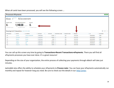| <b>Processed ePayments</b><br><b>COMPLETE</b> |                                      |                               |                    |               |                      |                    |                |                  |                                                         |  |  |  |
|-----------------------------------------------|--------------------------------------|-------------------------------|--------------------|---------------|----------------------|--------------------|----------------|------------------|---------------------------------------------------------|--|--|--|
| Transactions<br>Type<br>ePayments<br>6        | Ran On<br>Mon, Feb 14, 2022 07:26 PM |                               |                    |               |                      |                    |                |                  |                                                         |  |  |  |
| <b>TRANSACTIONS</b>                           | <b>TOTAL PROCESSED AMOUNT</b>        | <b>FAMILIES</b>               |                    |               |                      |                    |                |                  |                                                         |  |  |  |
| 6/6                                           | $1,140.00$ /1,140.00                 | 6/6                           |                    |               |                      |                    |                |                  |                                                         |  |  |  |
| <b>Successfully Processed</b>                 | <b>Successfully Processed</b>        | <b>Successfully Processed</b> |                    |               |                      |                    |                |                  |                                                         |  |  |  |
| Showing 6 of 6 Transactions @HELP WITH GRIDS  |                                      |                               |                    |               |                      |                    |                |                  | $\mathcal{C}$<br>$\qquad \qquad \blacksquare$<br>$(1 -$ |  |  |  |
| <b>PROCESSED</b>                              | : FAMILY                             | : STUDENTS                    | ÷<br>: METHOD      | <b>AMOUNT</b> | <b>RESPONSE CODE</b> | <b>REASON CODE</b> | <b>REASON</b>  | $\frac{1}{2}$ ID | ÷<br>: LOCATION                                         |  |  |  |
| Yes                                           | Connor                               | Mason, Leopold, Bill          | <b>Credit Card</b> | 275.00 1      |                      | 100                | <b>SUCCESS</b> | 6982582011       | Main                                                    |  |  |  |
| Yes                                           | Firestone                            | Patrice                       | <b>Credit Card</b> | 220.00 1      |                      | 100                | <b>SUCCESS</b> | 6982582085       | Main                                                    |  |  |  |
| Yes                                           | <b>Roberts</b>                       | Harlan                        | <b>Credit Card</b> | 55.00 1       |                      | 100                | <b>SUCCESS</b> | 6982582099       | Main                                                    |  |  |  |
| Yes                                           | <b>Russell</b>                       | Ginger                        | <b>Credit Card</b> | 210.00 1      |                      | 100                | <b>SUCCESS</b> | 6982582160       | Main                                                    |  |  |  |
| Yes                                           | <b>Skipper</b>                       | Lily                          | <b>Credit Card</b> | 220.00 1      |                      | 100                | <b>SUCCESS</b> | 6982582231       | Main                                                    |  |  |  |
| Yes                                           | <b>Stephens</b>                      | Tabby                         | <b>Credit Card</b> | 160.00 1      |                      | 100                | <b>SUCCESS</b> | 6982582269       | Main                                                    |  |  |  |
|                                               |                                      |                               |                    |               |                      |                    |                |                  |                                                         |  |  |  |

When all cards have been processed, you will see the following screen …

You can call up this screen any time by going to **Transactions>Recent Transactions>ePayments**. There you will find all ePayments processes you have ever done. It's a great resource!

Depending on the size of your organization, the entire process of collecting your payments through eBatch will take just minutes.

Jackrabbit also offers the ability to schedule your ePayments to **Process Later**. You can have your ePayments automatically run monthly and repeat for however long you need. Be sure to check out the details in our [Help Center.](https://help.jackrabbitclass.com/help/automate-schedule-epayments-process-later)